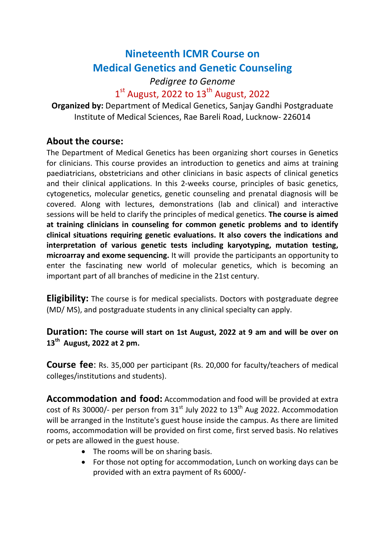# Nineteenth ICMR Course on Medical Genetics and Genetic Counseling

### Pedigree to Genome  $1<sup>st</sup>$  August, 2022 to  $13<sup>th</sup>$  August, 2022

Organized by: Department of Medical Genetics, Sanjay Gandhi Postgraduate Institute of Medical Sciences, Rae Bareli Road, Lucknow- 226014

### About the course:

The Department of Medical Genetics has been organizing short courses in Genetics for clinicians. This course provides an introduction to genetics and aims at training paediatricians, obstetricians and other clinicians in basic aspects of clinical genetics and their clinical applications. In this 2-weeks course, principles of basic genetics, cytogenetics, molecular genetics, genetic counseling and prenatal diagnosis will be covered. Along with lectures, demonstrations (lab and clinical) and interactive sessions will be held to clarify the principles of medical genetics. The course is aimed at training clinicians in counseling for common genetic problems and to identify clinical situations requiring genetic evaluations. It also covers the indications and interpretation of various genetic tests including karyotyping, mutation testing, microarray and exome sequencing. It will provide the participants an opportunity to enter the fascinating new world of molecular genetics, which is becoming an important part of all branches of medicine in the 21st century.

**Eligibility:** The course is for medical specialists. Doctors with postgraduate degree (MD/ MS), and postgraduate students in any clinical specialty can apply.

#### Duration: The course will start on 1st August, 2022 at 9 am and will be over on  $13<sup>th</sup>$  August, 2022 at 2 pm.

Course fee: Rs. 35,000 per participant (Rs. 20,000 for faculty/teachers of medical colleges/institutions and students).

Accommodation and food: Accommodation and food will be provided at extra cost of Rs 30000/- per person from  $31<sup>st</sup>$  July 2022 to  $13<sup>th</sup>$  Aug 2022. Accommodation will be arranged in the Institute's guest house inside the campus. As there are limited rooms, accommodation will be provided on first come, first served basis. No relatives or pets are allowed in the guest house.

- The rooms will be on sharing basis.
- For those not opting for accommodation, Lunch on working days can be provided with an extra payment of Rs 6000/-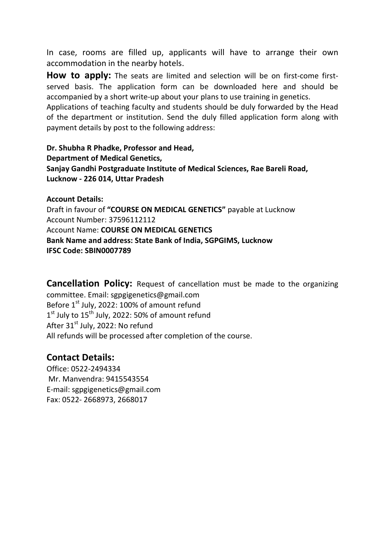In case, rooms are filled up, applicants will have to arrange their own accommodation in the nearby hotels.

How to apply: The seats are limited and selection will be on first-come firstserved basis. The application form can be downloaded here and should be accompanied by a short write-up about your plans to use training in genetics.

Applications of teaching faculty and students should be duly forwarded by the Head of the department or institution. Send the duly filled application form along with payment details by post to the following address:

Dr. Shubha R Phadke, Professor and Head, Department of Medical Genetics, Sanjay Gandhi Postgraduate Institute of Medical Sciences, Rae Bareli Road, Lucknow - 226 014, Uttar Pradesh

Account Details: Draft in favour of "COURSE ON MEDICAL GENETICS" payable at Lucknow Account Number: 37596112112 Account Name: COURSE ON MEDICAL GENETICS Bank Name and address: State Bank of India, SGPGIMS, Lucknow IFSC Code: SBIN0007789

**Cancellation Policy:** Request of cancellation must be made to the organizing committee. Email: sgpgigenetics@gmail.com Before  $1<sup>st</sup>$  July, 2022: 100% of amount refund 1<sup>st</sup> July to 15<sup>th</sup> July, 2022: 50% of amount refund After 31<sup>st</sup> July, 2022: No refund All refunds will be processed after completion of the course.

#### Contact Details:

Office: 0522-2494334 Mr. Manvendra: 9415543554 E-mail: sgpgigenetics@gmail.com Fax: 0522- 2668973, 2668017